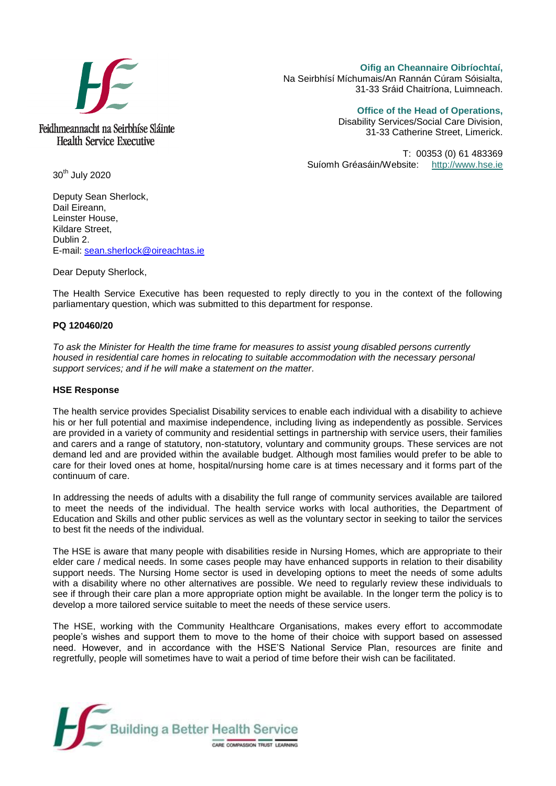

**Oifig an Cheannaire Oibríochtaí,**  Na Seirbhísí Míchumais/An Rannán Cúram Sóisialta, 31-33 Sráid Chaitríona, Luimneach.

**Office of the Head of Operations,** 

Disability Services/Social Care Division, 31-33 Catherine Street, Limerick.

T: 00353 (0) 61 483369 Suíomh Gréasáin/Website: [http://www.hse.ie](http://www.hse.ie/)

30<sup>th</sup> July 2020

Deputy Sean Sherlock, Dail Eireann, Leinster House, Kildare Street, Dublin 2. E-mail: [sean.sherlock@oireachtas.ie](mailto:sean.sherlock@oireachtas.ie)

Dear Deputy Sherlock,

The Health Service Executive has been requested to reply directly to you in the context of the following parliamentary question, which was submitted to this department for response.

## **PQ 120460/20**

*To ask the Minister for Health the time frame for measures to assist young disabled persons currently housed in residential care homes in relocating to suitable accommodation with the necessary personal support services; and if he will make a statement on the matter.*

## **HSE Response**

The health service provides Specialist Disability services to enable each individual with a disability to achieve his or her full potential and maximise independence, including living as independently as possible. Services are provided in a variety of community and residential settings in partnership with service users, their families and carers and a range of statutory, non-statutory, voluntary and community groups. These services are not demand led and are provided within the available budget. Although most families would prefer to be able to care for their loved ones at home, hospital/nursing home care is at times necessary and it forms part of the continuum of care.

In addressing the needs of adults with a disability the full range of community services available are tailored to meet the needs of the individual. The health service works with local authorities, the Department of Education and Skills and other public services as well as the voluntary sector in seeking to tailor the services to best fit the needs of the individual.

The HSE is aware that many people with disabilities reside in Nursing Homes, which are appropriate to their elder care / medical needs. In some cases people may have enhanced supports in relation to their disability support needs. The Nursing Home sector is used in developing options to meet the needs of some adults with a disability where no other alternatives are possible. We need to regularly review these individuals to see if through their care plan a more appropriate option might be available. In the longer term the policy is to develop a more tailored service suitable to meet the needs of these service users.

The HSE, working with the Community Healthcare Organisations, makes every effort to accommodate people's wishes and support them to move to the home of their choice with support based on assessed need. However, and in accordance with the HSE'S National Service Plan, resources are finite and regretfully, people will sometimes have to wait a period of time before their wish can be facilitated.